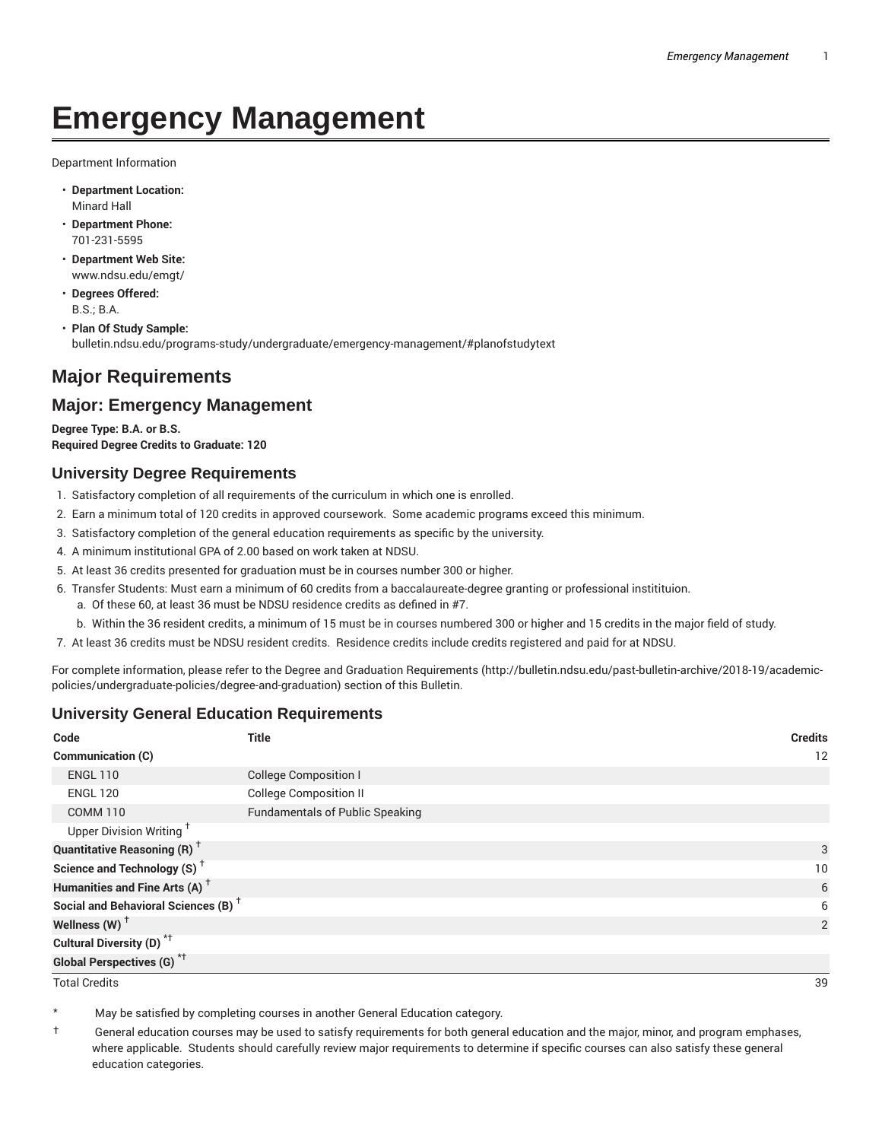# **Emergency Management**

Department Information

- **Department Location:** Minard Hall
- **Department Phone:** 701-231-5595
- **Department Web Site:** www.ndsu.edu/emgt/
- **Degrees Offered:** B.S.; B.A.
- **Plan Of Study Sample:** bulletin.ndsu.edu/programs-study/undergraduate/emergency-management/#planofstudytext

# **Major Requirements**

## **Major: Emergency Management**

**Degree Type: B.A. or B.S. Required Degree Credits to Graduate: 120**

## **University Degree Requirements**

- 1. Satisfactory completion of all requirements of the curriculum in which one is enrolled.
- 2. Earn a minimum total of 120 credits in approved coursework. Some academic programs exceed this minimum.
- 3. Satisfactory completion of the general education requirements as specific by the university.
- 4. A minimum institutional GPA of 2.00 based on work taken at NDSU.
- 5. At least 36 credits presented for graduation must be in courses number 300 or higher.
- 6. Transfer Students: Must earn a minimum of 60 credits from a baccalaureate-degree granting or professional institituion.
	- a. Of these 60, at least 36 must be NDSU residence credits as defined in #7.
	- b. Within the 36 resident credits, a minimum of 15 must be in courses numbered 300 or higher and 15 credits in the major field of study.
- 7. At least 36 credits must be NDSU resident credits. Residence credits include credits registered and paid for at NDSU.

For complete information, please refer to the Degree and Graduation Requirements (http://bulletin.ndsu.edu/past-bulletin-archive/2018-19/academicpolicies/undergraduate-policies/degree-and-graduation) section of this Bulletin.

## **University General Education Requirements**

| Code                                            | <b>Title</b>                           | <b>Credits</b> |
|-------------------------------------------------|----------------------------------------|----------------|
| Communication (C)                               |                                        | 12             |
| <b>ENGL 110</b>                                 | <b>College Composition I</b>           |                |
| <b>ENGL 120</b>                                 | <b>College Composition II</b>          |                |
| <b>COMM 110</b>                                 | <b>Fundamentals of Public Speaking</b> |                |
| Upper Division Writing <sup>+</sup>             |                                        |                |
| <b>Quantitative Reasoning (R)</b> <sup>†</sup>  |                                        | 3              |
| Science and Technology (S) <sup>+</sup>         |                                        | 10             |
| Humanities and Fine Arts (A) <sup>+</sup>       |                                        | 6              |
| Social and Behavioral Sciences (B) <sup>+</sup> |                                        | 6              |
| Wellness $(W)$ <sup>+</sup>                     |                                        | 2              |
| Cultural Diversity (D) <sup>*†</sup>            |                                        |                |
| <b>Global Perspectives (G)<sup>*†</sup></b>     |                                        |                |

Total Credits 39

May be satisfied by completing courses in another General Education category.

† General education courses may be used to satisfy requirements for both general education and the major, minor, and program emphases, where applicable. Students should carefully review major requirements to determine if specific courses can also satisfy these general education categories.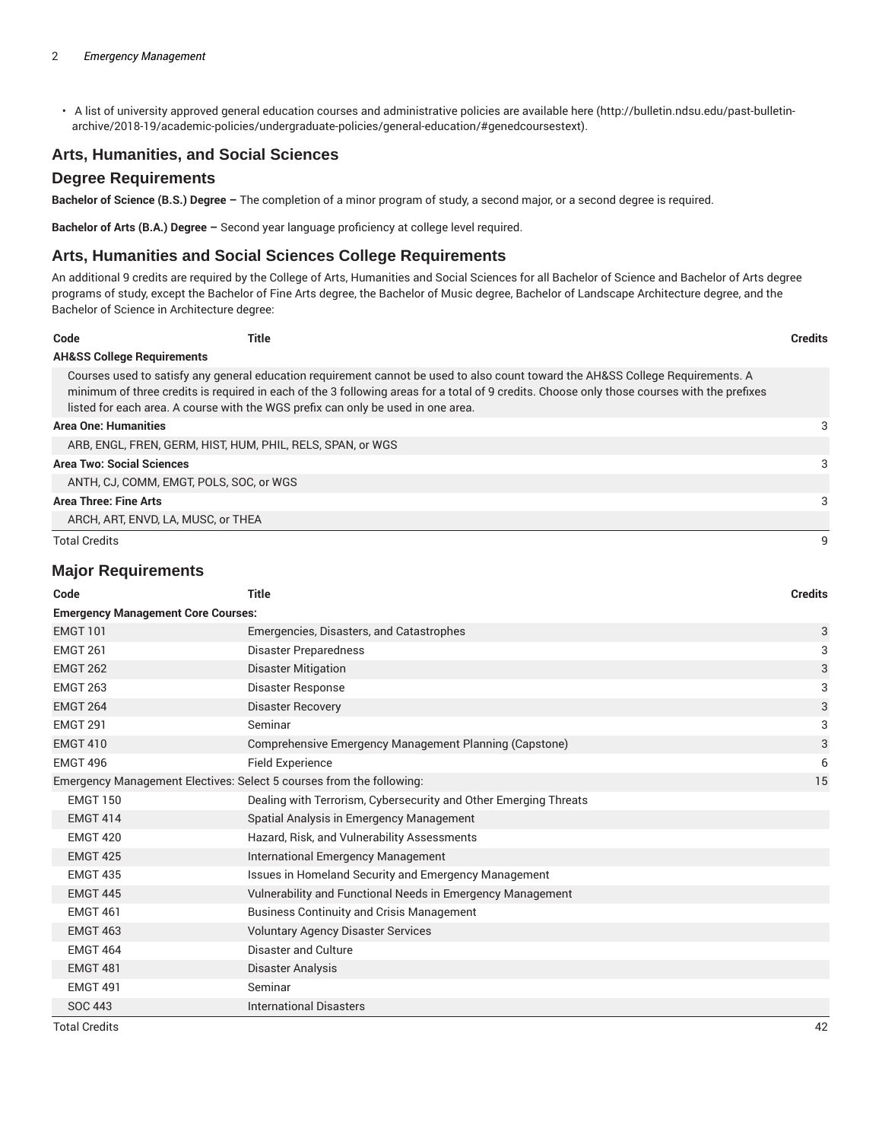• A list of university approved general education courses and administrative policies are available here (http://bulletin.ndsu.edu/past-bulletinarchive/2018-19/academic-policies/undergraduate-policies/general-education/#genedcoursestext).

## **Arts, Humanities, and Social Sciences**

#### **Degree Requirements**

**Bachelor of Science (B.S.) Degree –** The completion of a minor program of study, a second major, or a second degree is required.

**Bachelor of Arts (B.A.) Degree –** Second year language proficiency at college level required.

## **Arts, Humanities and Social Sciences College Requirements**

An additional 9 credits are required by the College of Arts, Humanities and Social Sciences for all Bachelor of Science and Bachelor of Arts degree programs of study, except the Bachelor of Fine Arts degree, the Bachelor of Music degree, Bachelor of Landscape Architecture degree, and the Bachelor of Science in Architecture degree:

| Code                                  | Title                                                                            |                                                                                                                                                                                                                                                                                | <b>Credits</b> |
|---------------------------------------|----------------------------------------------------------------------------------|--------------------------------------------------------------------------------------------------------------------------------------------------------------------------------------------------------------------------------------------------------------------------------|----------------|
| <b>AH&amp;SS College Requirements</b> |                                                                                  |                                                                                                                                                                                                                                                                                |                |
|                                       | listed for each area. A course with the WGS prefix can only be used in one area. | Courses used to satisfy any general education requirement cannot be used to also count toward the AH&SS College Requirements. A<br>minimum of three credits is required in each of the 3 following areas for a total of 9 credits. Choose only those courses with the prefixes |                |
| <b>Area One: Humanities</b>           |                                                                                  |                                                                                                                                                                                                                                                                                | 3              |
|                                       | ARB, ENGL, FREN, GERM, HIST, HUM, PHIL, RELS, SPAN, or WGS                       |                                                                                                                                                                                                                                                                                |                |
| <b>Area Two: Social Sciences</b>      |                                                                                  |                                                                                                                                                                                                                                                                                | 3              |
|                                       | ANTH. CJ. COMM. EMGT. POLS. SOC. or WGS.                                         |                                                                                                                                                                                                                                                                                |                |
| Area Three: Fine Arts                 |                                                                                  |                                                                                                                                                                                                                                                                                | 3              |
|                                       | ARCH, ART, ENVD, LA, MUSC, or THEA                                               |                                                                                                                                                                                                                                                                                |                |
| <b>Total Credits</b>                  |                                                                                  |                                                                                                                                                                                                                                                                                |                |

#### **Major Requirements**

| Code                                                                 | <b>Title</b>                                                     | <b>Credits</b> |
|----------------------------------------------------------------------|------------------------------------------------------------------|----------------|
| <b>Emergency Management Core Courses:</b>                            |                                                                  |                |
| <b>EMGT 101</b>                                                      | Emergencies, Disasters, and Catastrophes                         | 3              |
| <b>EMGT 261</b>                                                      | Disaster Preparedness                                            | 3              |
| <b>EMGT 262</b>                                                      | <b>Disaster Mitigation</b>                                       | 3              |
| <b>EMGT 263</b>                                                      | <b>Disaster Response</b>                                         | 3              |
| <b>EMGT 264</b>                                                      | <b>Disaster Recovery</b>                                         | 3              |
| <b>EMGT 291</b>                                                      | Seminar                                                          | 3              |
| <b>EMGT 410</b>                                                      | Comprehensive Emergency Management Planning (Capstone)           | 3              |
| <b>EMGT 496</b>                                                      | <b>Field Experience</b>                                          | 6              |
| Emergency Management Electives: Select 5 courses from the following: |                                                                  | 15             |
| <b>EMGT 150</b>                                                      | Dealing with Terrorism, Cybersecurity and Other Emerging Threats |                |
| <b>EMGT 414</b>                                                      | Spatial Analysis in Emergency Management                         |                |
| <b>EMGT 420</b>                                                      | Hazard, Risk, and Vulnerability Assessments                      |                |
| <b>EMGT 425</b>                                                      | <b>International Emergency Management</b>                        |                |
| <b>EMGT 435</b>                                                      | Issues in Homeland Security and Emergency Management             |                |
| <b>EMGT 445</b>                                                      | Vulnerability and Functional Needs in Emergency Management       |                |
| <b>EMGT 461</b>                                                      | <b>Business Continuity and Crisis Management</b>                 |                |
| <b>EMGT 463</b>                                                      | <b>Voluntary Agency Disaster Services</b>                        |                |
| <b>EMGT 464</b>                                                      | Disaster and Culture                                             |                |
| <b>EMGT 481</b>                                                      | Disaster Analysis                                                |                |
| <b>EMGT 491</b>                                                      | Seminar                                                          |                |
| <b>SOC 443</b>                                                       | <b>International Disasters</b>                                   |                |

Total Credits 42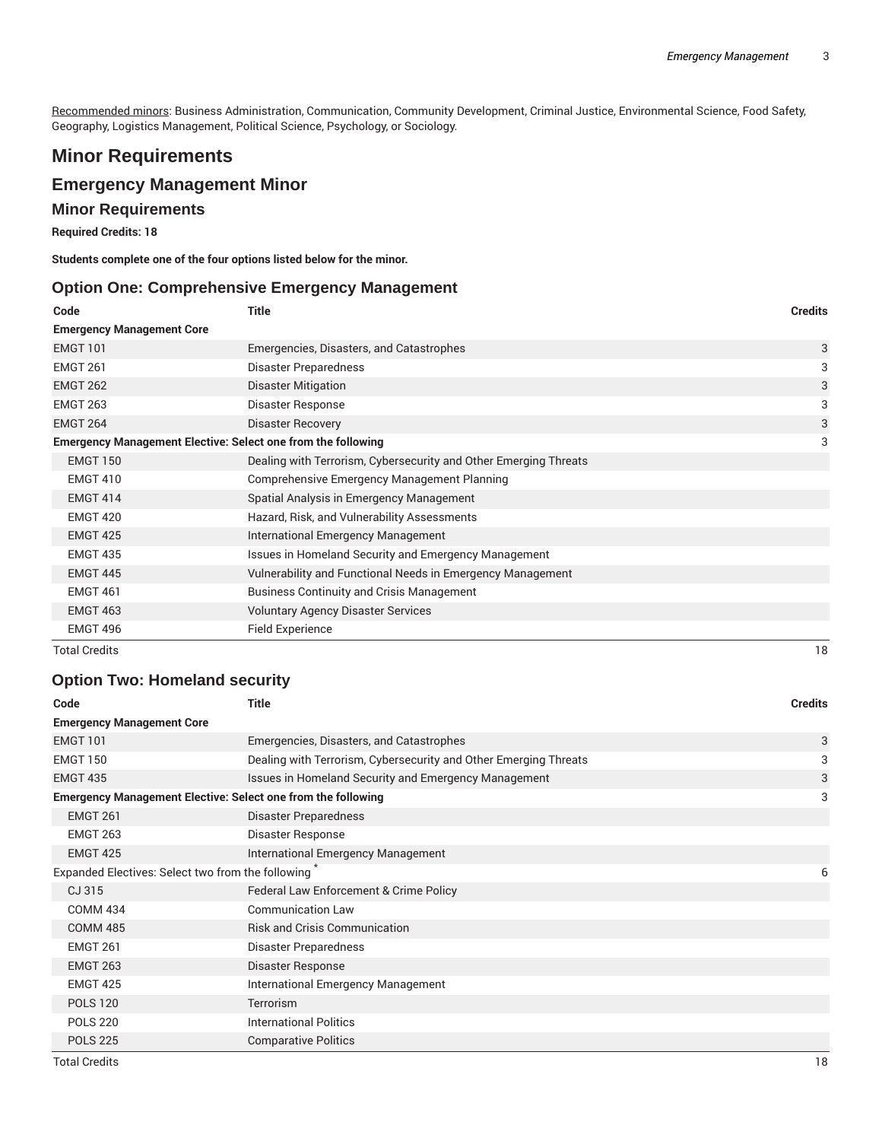Recommended minors: Business Administration, Communication, Community Development, Criminal Justice, Environmental Science, Food Safety, Geography, Logistics Management, Political Science, Psychology, or Sociology.

# **Minor Requirements**

## **Emergency Management Minor**

## **Minor Requirements**

**Required Credits: 18**

**Students complete one of the four options listed below for the minor.**

#### **Option One: Comprehensive Emergency Management**

| Code                                                                | <b>Title</b>                                                     | <b>Credits</b> |
|---------------------------------------------------------------------|------------------------------------------------------------------|----------------|
| <b>Emergency Management Core</b>                                    |                                                                  |                |
| <b>EMGT 101</b>                                                     | Emergencies, Disasters, and Catastrophes                         | 3              |
| <b>EMGT 261</b>                                                     | Disaster Preparedness                                            | 3              |
| <b>EMGT 262</b>                                                     | <b>Disaster Mitigation</b>                                       | 3              |
| <b>EMGT 263</b>                                                     | Disaster Response                                                | 3              |
| <b>EMGT 264</b>                                                     | <b>Disaster Recovery</b>                                         | 3              |
| <b>Emergency Management Elective: Select one from the following</b> |                                                                  | 3              |
| <b>EMGT 150</b>                                                     | Dealing with Terrorism, Cybersecurity and Other Emerging Threats |                |
| <b>EMGT 410</b>                                                     | Comprehensive Emergency Management Planning                      |                |
| <b>EMGT 414</b>                                                     | Spatial Analysis in Emergency Management                         |                |
| <b>EMGT 420</b>                                                     | Hazard, Risk, and Vulnerability Assessments                      |                |
| <b>EMGT 425</b>                                                     | International Emergency Management                               |                |
| <b>EMGT 435</b>                                                     | Issues in Homeland Security and Emergency Management             |                |
| <b>EMGT 445</b>                                                     | Vulnerability and Functional Needs in Emergency Management       |                |
| <b>EMGT 461</b>                                                     | <b>Business Continuity and Crisis Management</b>                 |                |
| <b>EMGT 463</b>                                                     | <b>Voluntary Agency Disaster Services</b>                        |                |
| EMGT 496                                                            | Field Experience                                                 |                |

Total Credits 18

## **Option Two: Homeland security**

| Code                                                                | <b>Title</b>                                                     | <b>Credits</b> |
|---------------------------------------------------------------------|------------------------------------------------------------------|----------------|
| <b>Emergency Management Core</b>                                    |                                                                  |                |
| <b>EMGT 101</b>                                                     | Emergencies, Disasters, and Catastrophes                         | 3              |
| <b>EMGT 150</b>                                                     | Dealing with Terrorism, Cybersecurity and Other Emerging Threats | 3              |
| <b>EMGT 435</b>                                                     | Issues in Homeland Security and Emergency Management             | 3              |
| <b>Emergency Management Elective: Select one from the following</b> |                                                                  | 3              |
| <b>EMGT 261</b>                                                     | Disaster Preparedness                                            |                |
| <b>EMGT 263</b>                                                     | Disaster Response                                                |                |
| <b>EMGT 425</b>                                                     | International Emergency Management                               |                |
| Expanded Electives: Select two from the following                   |                                                                  | 6              |
| CJ 315                                                              | Federal Law Enforcement & Crime Policy                           |                |
| <b>COMM 434</b>                                                     | <b>Communication Law</b>                                         |                |
| <b>COMM 485</b>                                                     | <b>Risk and Crisis Communication</b>                             |                |
| <b>EMGT 261</b>                                                     | Disaster Preparedness                                            |                |
| <b>EMGT 263</b>                                                     | Disaster Response                                                |                |
| <b>EMGT 425</b>                                                     | International Emergency Management                               |                |
| <b>POLS 120</b>                                                     | <b>Terrorism</b>                                                 |                |
| <b>POLS 220</b>                                                     | <b>International Politics</b>                                    |                |
| <b>POLS 225</b>                                                     | <b>Comparative Politics</b>                                      |                |

Total Credits 18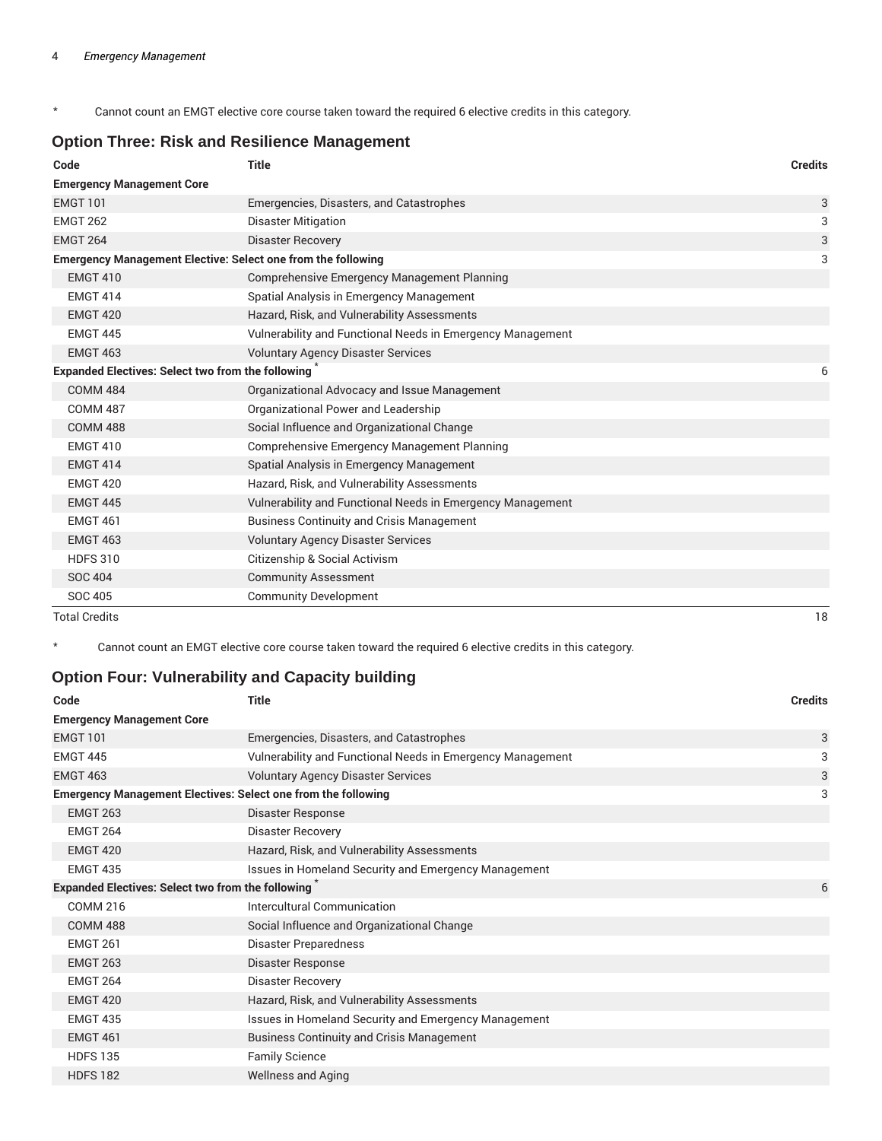\* Cannot count an EMGT elective core course taken toward the required 6 elective credits in this category.

## **Option Three: Risk and Resilience Management**

| Code                                                                | <b>Title</b>                                               | <b>Credits</b> |
|---------------------------------------------------------------------|------------------------------------------------------------|----------------|
| <b>Emergency Management Core</b>                                    |                                                            |                |
| <b>EMGT 101</b>                                                     | Emergencies, Disasters, and Catastrophes                   | 3              |
| <b>EMGT 262</b>                                                     | <b>Disaster Mitigation</b>                                 | 3              |
| <b>EMGT 264</b>                                                     | <b>Disaster Recovery</b>                                   | 3              |
| <b>Emergency Management Elective: Select one from the following</b> |                                                            | 3              |
| <b>EMGT 410</b>                                                     | <b>Comprehensive Emergency Management Planning</b>         |                |
| <b>EMGT 414</b>                                                     | Spatial Analysis in Emergency Management                   |                |
| <b>EMGT 420</b>                                                     | Hazard, Risk, and Vulnerability Assessments                |                |
| <b>EMGT 445</b>                                                     | Vulnerability and Functional Needs in Emergency Management |                |
| <b>EMGT 463</b>                                                     | <b>Voluntary Agency Disaster Services</b>                  |                |
| <b>Expanded Electives: Select two from the following</b>            |                                                            | 6              |
| <b>COMM 484</b>                                                     | Organizational Advocacy and Issue Management               |                |
| <b>COMM 487</b>                                                     | Organizational Power and Leadership                        |                |
| <b>COMM 488</b>                                                     | Social Influence and Organizational Change                 |                |
| <b>EMGT 410</b>                                                     | Comprehensive Emergency Management Planning                |                |
| <b>EMGT 414</b>                                                     | Spatial Analysis in Emergency Management                   |                |
| <b>EMGT 420</b>                                                     | Hazard, Risk, and Vulnerability Assessments                |                |
| <b>EMGT 445</b>                                                     | Vulnerability and Functional Needs in Emergency Management |                |
| <b>EMGT 461</b>                                                     | <b>Business Continuity and Crisis Management</b>           |                |
| <b>EMGT 463</b>                                                     | <b>Voluntary Agency Disaster Services</b>                  |                |
| <b>HDFS 310</b>                                                     | Citizenship & Social Activism                              |                |
| <b>SOC 404</b>                                                      | <b>Community Assessment</b>                                |                |
| SOC 405                                                             | <b>Community Development</b>                               |                |
| <b>Total Credits</b>                                                |                                                            | 18             |

\* Cannot count an EMGT elective core course taken toward the required 6 elective credits in this category.

# **Option Four: Vulnerability and Capacity building**

| Code                                                                 | <b>Title</b>                                               | <b>Credits</b> |
|----------------------------------------------------------------------|------------------------------------------------------------|----------------|
| <b>Emergency Management Core</b>                                     |                                                            |                |
| <b>EMGT 101</b>                                                      | Emergencies, Disasters, and Catastrophes                   | 3              |
| <b>EMGT 445</b>                                                      | Vulnerability and Functional Needs in Emergency Management | 3              |
| <b>EMGT 463</b>                                                      | <b>Voluntary Agency Disaster Services</b>                  | 3              |
| <b>Emergency Management Electives: Select one from the following</b> |                                                            | 3              |
| <b>EMGT 263</b>                                                      | Disaster Response                                          |                |
| <b>EMGT 264</b>                                                      | <b>Disaster Recovery</b>                                   |                |
| <b>EMGT 420</b>                                                      | Hazard, Risk, and Vulnerability Assessments                |                |
| <b>EMGT 435</b>                                                      | Issues in Homeland Security and Emergency Management       |                |
| <b>Expanded Electives: Select two from the following</b>             |                                                            | 6              |
| <b>COMM 216</b>                                                      | Intercultural Communication                                |                |
| <b>COMM 488</b>                                                      | Social Influence and Organizational Change                 |                |
| <b>EMGT 261</b>                                                      | Disaster Preparedness                                      |                |
| <b>EMGT 263</b>                                                      | Disaster Response                                          |                |
| <b>EMGT 264</b>                                                      | Disaster Recovery                                          |                |
| <b>EMGT 420</b>                                                      | Hazard, Risk, and Vulnerability Assessments                |                |
| <b>EMGT 435</b>                                                      | Issues in Homeland Security and Emergency Management       |                |
| <b>EMGT 461</b>                                                      | <b>Business Continuity and Crisis Management</b>           |                |
| <b>HDFS 135</b>                                                      | <b>Family Science</b>                                      |                |
| <b>HDFS 182</b>                                                      | <b>Wellness and Aging</b>                                  |                |